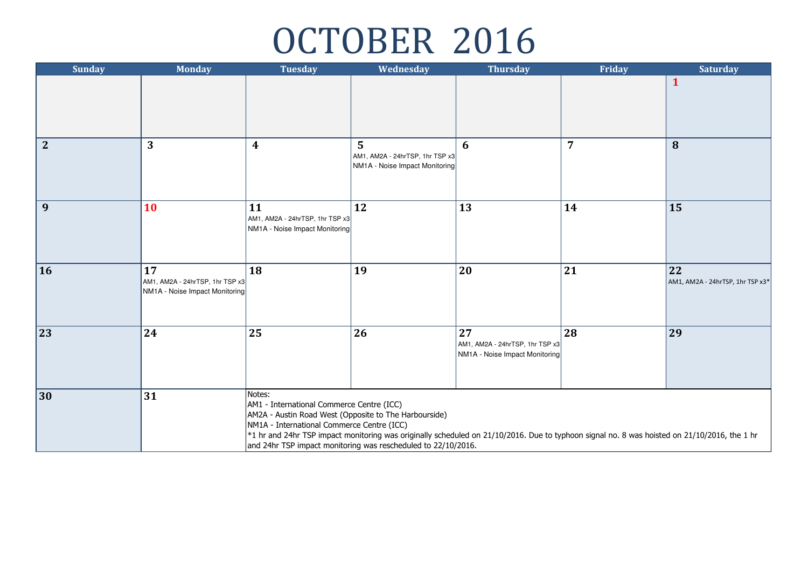## OCTOBER 2016

| <b>Sunday</b>  | <b>Monday</b>                                                           | <b>Tuesday</b>                                                                                                                                                                                                              | Wednesday                                                              | <b>Thursday</b>                                                                                                                              | Friday         | <b>Saturday</b>                        |
|----------------|-------------------------------------------------------------------------|-----------------------------------------------------------------------------------------------------------------------------------------------------------------------------------------------------------------------------|------------------------------------------------------------------------|----------------------------------------------------------------------------------------------------------------------------------------------|----------------|----------------------------------------|
|                |                                                                         |                                                                                                                                                                                                                             |                                                                        |                                                                                                                                              |                | $\mathbf{1}$                           |
| $\overline{2}$ | 3                                                                       | $\boldsymbol{4}$                                                                                                                                                                                                            | 5<br>AM1, AM2A - 24hrTSP, 1hr TSP x3<br>NM1A - Noise Impact Monitoring | 6                                                                                                                                            | $\overline{7}$ | $\bf{8}$                               |
| $\vert$ 9      | 10                                                                      | 11<br>AM1, AM2A - 24hrTSP, 1hr TSP x3<br>NM1A - Noise Impact Monitoring                                                                                                                                                     | 12                                                                     | 13                                                                                                                                           | 14             | 15                                     |
| $\vert$ 16     | 17<br>AM1, AM2A - 24hrTSP, 1hr TSP x3<br>NM1A - Noise Impact Monitoring | 18                                                                                                                                                                                                                          | 19                                                                     | 20                                                                                                                                           | 21             | 22<br>AM1, AM2A - 24hrTSP, 1hr TSP x3* |
| 23             | 24                                                                      | 25                                                                                                                                                                                                                          | 26                                                                     | 27<br>AM1, AM2A - 24hrTSP, 1hr TSP x3<br>NM1A - Noise Impact Monitoring                                                                      | 28             | 29                                     |
| 30             | 31                                                                      | Notes:<br>AM1 - International Commerce Centre (ICC)<br>AM2A - Austin Road West (Opposite to The Harbourside)<br>NM1A - International Commerce Centre (ICC)<br>and 24hr TSP impact monitoring was rescheduled to 22/10/2016. |                                                                        | *1 hr and 24hr TSP impact monitoring was originally scheduled on 21/10/2016. Due to typhoon signal no. 8 was hoisted on 21/10/2016, the 1 hr |                |                                        |